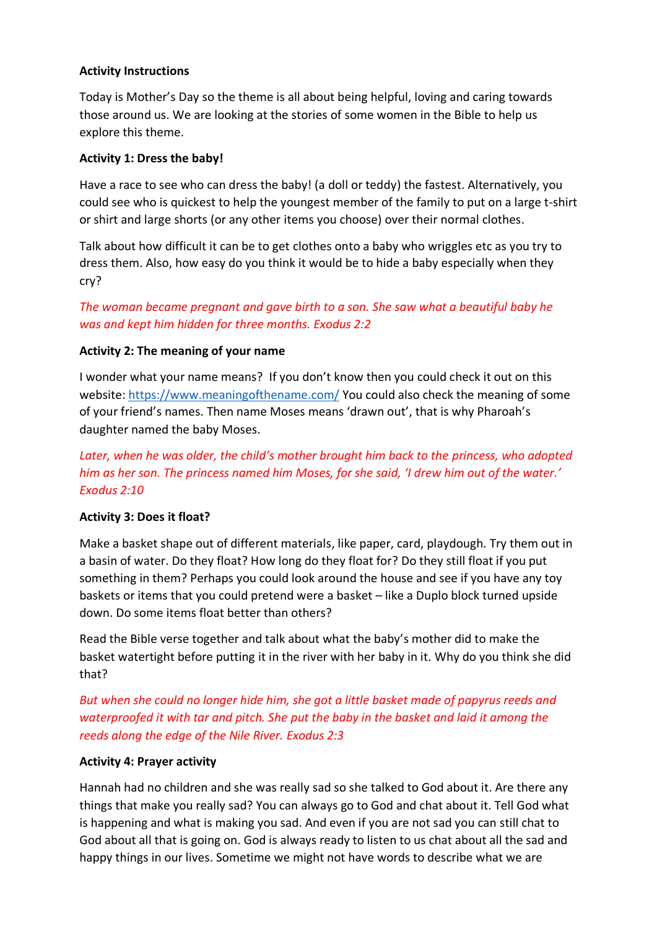#### **Activity Instructions**

Today is Mother's Day so the theme is all about being helpful, loving and caring towards those around us. We are looking at the stories of some women in the Bible to help us explore this theme.

#### **Activity 1: Dress the baby!**

Have a race to see who can dress the baby! (a doll or teddy) the fastest. Alternatively, you could see who is quickest to help the youngest member of the family to put on a large t-shirt or shirt and large shorts (or any other items you choose) over their normal clothes.

Talk about how difficult it can be to get clothes onto a baby who wriggles etc as you try to dress them. Also, how easy do you think it would be to hide a baby especially when they cry?

## *The woman became pregnant and gave birth to a son. She saw what a beautiful baby he was and kept him hidden for three months. Exodus 2:2*

#### **Activity 2: The meaning of your name**

I wonder what your name means? If you don't know then you could check it out on this website:<https://www.meaningofthename.com/> You could also check the meaning of some of your friend's names. Then name Moses means 'drawn out', that is why Pharoah's daughter named the baby Moses.

# *Later, when he was older, the child's mother brought him back to the princess, who adopted him as her son. The princess named him Moses, for she said, 'I drew him out of the water.' Exodus 2:10*

#### **Activity 3: Does it float?**

Make a basket shape out of different materials, like paper, card, playdough. Try them out in a basin of water. Do they float? How long do they float for? Do they still float if you put something in them? Perhaps you could look around the house and see if you have any toy baskets or items that you could pretend were a basket – like a Duplo block turned upside down. Do some items float better than others?

Read the Bible verse together and talk about what the baby's mother did to make the basket watertight before putting it in the river with her baby in it. Why do you think she did that?

*But when she could no longer hide him, she got a little basket made of papyrus reeds and waterproofed it with tar and pitch. She put the baby in the basket and laid it among the reeds along the edge of the Nile River. Exodus 2:3*

#### **Activity 4: Prayer activity**

Hannah had no children and she was really sad so she talked to God about it. Are there any things that make you really sad? You can always go to God and chat about it. Tell God what is happening and what is making you sad. And even if you are not sad you can still chat to God about all that is going on. God is always ready to listen to us chat about all the sad and happy things in our lives. Sometime we might not have words to describe what we are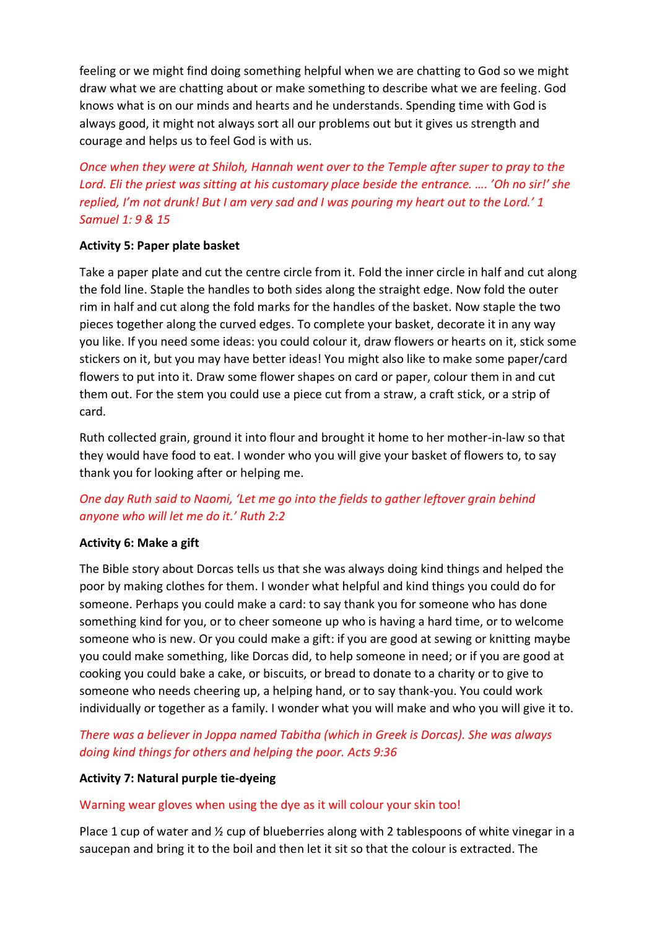feeling or we might find doing something helpful when we are chatting to God so we might draw what we are chatting about or make something to describe what we are feeling. God knows what is on our minds and hearts and he understands. Spending time with God is always good, it might not always sort all our problems out but it gives us strength and courage and helps us to feel God is with us.

*Once when they were at Shiloh, Hannah went over to the Temple after super to pray to the Lord. Eli the priest was sitting at his customary place beside the entrance. …. 'Oh no sir!' she replied, I'm not drunk! But I am very sad and I was pouring my heart out to the Lord.' 1 Samuel 1: 9 & 15*

## **Activity 5: Paper plate basket**

Take a paper plate and cut the centre circle from it. Fold the inner circle in half and cut along the fold line. Staple the handles to both sides along the straight edge. Now fold the outer rim in half and cut along the fold marks for the handles of the basket. Now staple the two pieces together along the curved edges. To complete your basket, decorate it in any way you like. If you need some ideas: you could colour it, draw flowers or hearts on it, stick some stickers on it, but you may have better ideas! You might also like to make some paper/card flowers to put into it. Draw some flower shapes on card or paper, colour them in and cut them out. For the stem you could use a piece cut from a straw, a craft stick, or a strip of card.

Ruth collected grain, ground it into flour and brought it home to her mother-in-law so that they would have food to eat. I wonder who you will give your basket of flowers to, to say thank you for looking after or helping me.

# *One day Ruth said to Naomi, 'Let me go into the fields to gather leftover grain behind anyone who will let me do it.' Ruth 2:2*

# **Activity 6: Make a gift**

The Bible story about Dorcas tells us that she was always doing kind things and helped the poor by making clothes for them. I wonder what helpful and kind things you could do for someone. Perhaps you could make a card: to say thank you for someone who has done something kind for you, or to cheer someone up who is having a hard time, or to welcome someone who is new. Or you could make a gift: if you are good at sewing or knitting maybe you could make something, like Dorcas did, to help someone in need; or if you are good at cooking you could bake a cake, or biscuits, or bread to donate to a charity or to give to someone who needs cheering up, a helping hand, or to say thank-you. You could work individually or together as a family. I wonder what you will make and who you will give it to.

*There was a believer in Joppa named Tabitha (which in Greek is Dorcas). She was always doing kind things for others and helping the poor. Acts 9:36*

## **Activity 7: Natural purple tie-dyeing**

## Warning wear gloves when using the dye as it will colour your skin too!

Place 1 cup of water and  $\frac{1}{2}$  cup of blueberries along with 2 tablespoons of white vinegar in a saucepan and bring it to the boil and then let it sit so that the colour is extracted. The